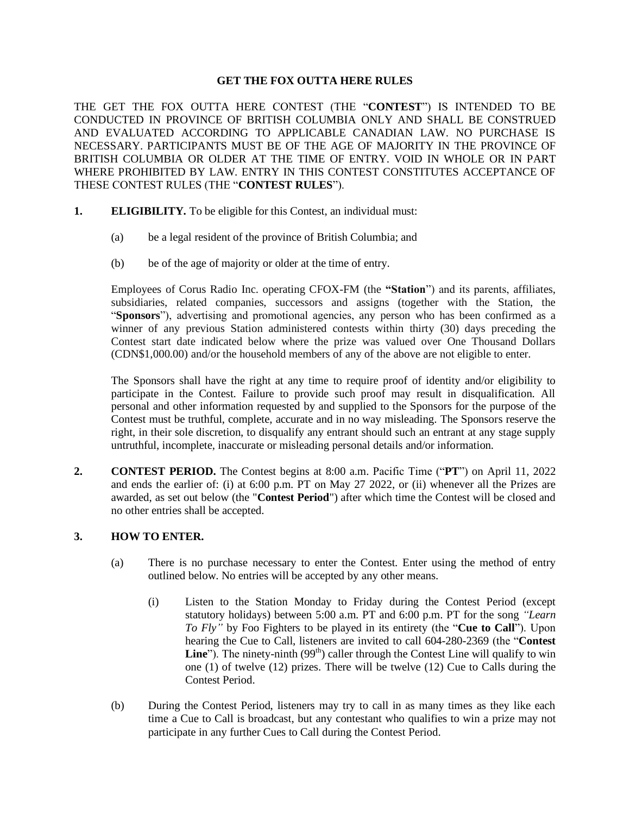### **GET THE FOX OUTTA HERE RULES**

THE GET THE FOX OUTTA HERE CONTEST (THE "**CONTEST**") IS INTENDED TO BE CONDUCTED IN PROVINCE OF BRITISH COLUMBIA ONLY AND SHALL BE CONSTRUED AND EVALUATED ACCORDING TO APPLICABLE CANADIAN LAW. NO PURCHASE IS NECESSARY. PARTICIPANTS MUST BE OF THE AGE OF MAJORITY IN THE PROVINCE OF BRITISH COLUMBIA OR OLDER AT THE TIME OF ENTRY. VOID IN WHOLE OR IN PART WHERE PROHIBITED BY LAW. ENTRY IN THIS CONTEST CONSTITUTES ACCEPTANCE OF THESE CONTEST RULES (THE "**CONTEST RULES**").

- **1. ELIGIBILITY.** To be eligible for this Contest, an individual must:
	- (a) be a legal resident of the province of British Columbia; and
	- (b) be of the age of majority or older at the time of entry.

Employees of Corus Radio Inc. operating CFOX-FM (the **"Station**") and its parents, affiliates, subsidiaries, related companies, successors and assigns (together with the Station, the "**Sponsors**"), advertising and promotional agencies, any person who has been confirmed as a winner of any previous Station administered contests within thirty (30) days preceding the Contest start date indicated below where the prize was valued over One Thousand Dollars (CDN\$1,000.00) and/or the household members of any of the above are not eligible to enter.

The Sponsors shall have the right at any time to require proof of identity and/or eligibility to participate in the Contest. Failure to provide such proof may result in disqualification. All personal and other information requested by and supplied to the Sponsors for the purpose of the Contest must be truthful, complete, accurate and in no way misleading. The Sponsors reserve the right, in their sole discretion, to disqualify any entrant should such an entrant at any stage supply untruthful, incomplete, inaccurate or misleading personal details and/or information.

**2. CONTEST PERIOD.** The Contest begins at 8:00 a.m. Pacific Time ("**PT**") on April 11, 2022 and ends the earlier of: (i) at 6:00 p.m. PT on May 27 2022, or (ii) whenever all the Prizes are awarded, as set out below (the "**Contest Period**") after which time the Contest will be closed and no other entries shall be accepted.

### **3. HOW TO ENTER.**

- (a) There is no purchase necessary to enter the Contest. Enter using the method of entry outlined below. No entries will be accepted by any other means.
	- (i) Listen to the Station Monday to Friday during the Contest Period (except statutory holidays) between 5:00 a.m. PT and 6:00 p.m. PT for the song *"Learn To Fly"* by Foo Fighters to be played in its entirety (the "**Cue to Call**"). Upon hearing the Cue to Call, listeners are invited to call 604-280-2369 (the "**Contest**  Line"). The ninety-ninth (99<sup>th</sup>) caller through the Contest Line will qualify to win one (1) of twelve (12) prizes. There will be twelve (12) Cue to Calls during the Contest Period.
- (b) During the Contest Period, listeners may try to call in as many times as they like each time a Cue to Call is broadcast, but any contestant who qualifies to win a prize may not participate in any further Cues to Call during the Contest Period.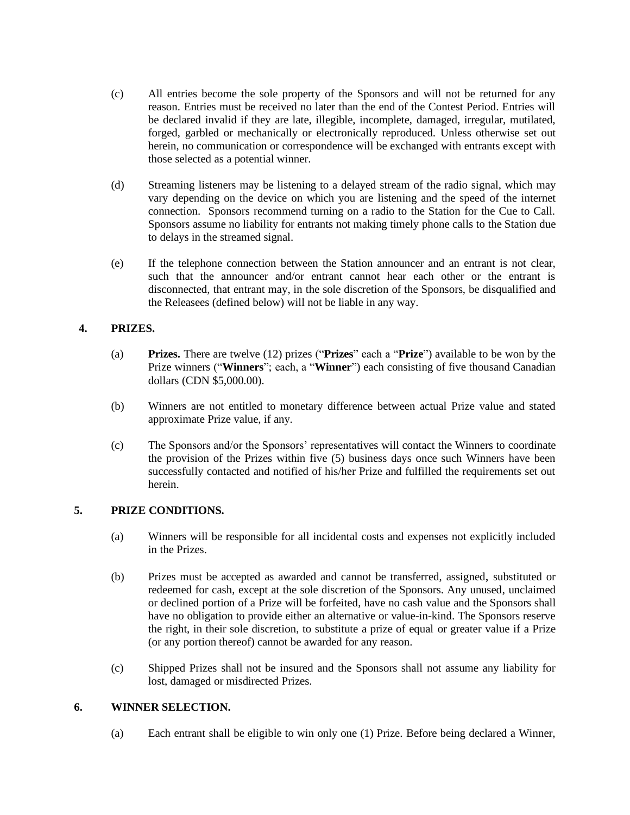- (c) All entries become the sole property of the Sponsors and will not be returned for any reason. Entries must be received no later than the end of the Contest Period. Entries will be declared invalid if they are late, illegible, incomplete, damaged, irregular, mutilated, forged, garbled or mechanically or electronically reproduced. Unless otherwise set out herein, no communication or correspondence will be exchanged with entrants except with those selected as a potential winner.
- (d) Streaming listeners may be listening to a delayed stream of the radio signal, which may vary depending on the device on which you are listening and the speed of the internet connection. Sponsors recommend turning on a radio to the Station for the Cue to Call. Sponsors assume no liability for entrants not making timely phone calls to the Station due to delays in the streamed signal.
- (e) If the telephone connection between the Station announcer and an entrant is not clear, such that the announcer and/or entrant cannot hear each other or the entrant is disconnected, that entrant may, in the sole discretion of the Sponsors, be disqualified and the Releasees (defined below) will not be liable in any way.

## **4. PRIZES.**

- (a) **Prizes.** There are twelve (12) prizes ("**Prizes**" each a "**Prize**") available to be won by the Prize winners ("**Winners**"; each, a "**Winner**") each consisting of five thousand Canadian dollars (CDN \$5,000.00).
- (b) Winners are not entitled to monetary difference between actual Prize value and stated approximate Prize value, if any.
- (c) The Sponsors and/or the Sponsors' representatives will contact the Winners to coordinate the provision of the Prizes within five (5) business days once such Winners have been successfully contacted and notified of his/her Prize and fulfilled the requirements set out herein.

# **5. PRIZE CONDITIONS.**

- (a) Winners will be responsible for all incidental costs and expenses not explicitly included in the Prizes.
- (b) Prizes must be accepted as awarded and cannot be transferred, assigned, substituted or redeemed for cash, except at the sole discretion of the Sponsors. Any unused, unclaimed or declined portion of a Prize will be forfeited, have no cash value and the Sponsors shall have no obligation to provide either an alternative or value-in-kind. The Sponsors reserve the right, in their sole discretion, to substitute a prize of equal or greater value if a Prize (or any portion thereof) cannot be awarded for any reason.
- (c) Shipped Prizes shall not be insured and the Sponsors shall not assume any liability for lost, damaged or misdirected Prizes.

### **6. WINNER SELECTION.**

(a) Each entrant shall be eligible to win only one (1) Prize. Before being declared a Winner,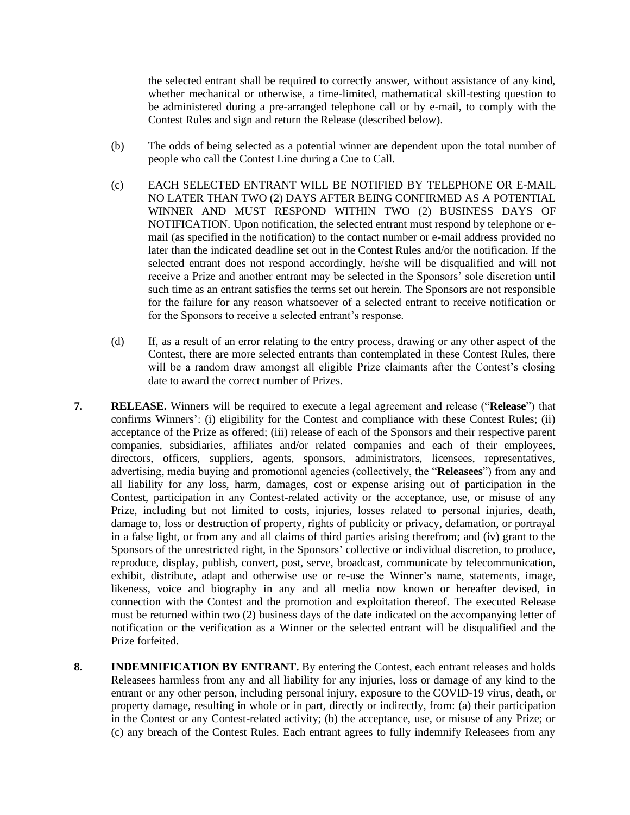the selected entrant shall be required to correctly answer, without assistance of any kind, whether mechanical or otherwise, a time-limited, mathematical skill-testing question to be administered during a pre-arranged telephone call or by e-mail, to comply with the Contest Rules and sign and return the Release (described below).

- (b) The odds of being selected as a potential winner are dependent upon the total number of people who call the Contest Line during a Cue to Call.
- (c) EACH SELECTED ENTRANT WILL BE NOTIFIED BY TELEPHONE OR E-MAIL NO LATER THAN TWO (2) DAYS AFTER BEING CONFIRMED AS A POTENTIAL WINNER AND MUST RESPOND WITHIN TWO (2) BUSINESS DAYS OF NOTIFICATION. Upon notification, the selected entrant must respond by telephone or email (as specified in the notification) to the contact number or e-mail address provided no later than the indicated deadline set out in the Contest Rules and/or the notification. If the selected entrant does not respond accordingly, he/she will be disqualified and will not receive a Prize and another entrant may be selected in the Sponsors' sole discretion until such time as an entrant satisfies the terms set out herein. The Sponsors are not responsible for the failure for any reason whatsoever of a selected entrant to receive notification or for the Sponsors to receive a selected entrant's response.
- (d) If, as a result of an error relating to the entry process, drawing or any other aspect of the Contest, there are more selected entrants than contemplated in these Contest Rules, there will be a random draw amongst all eligible Prize claimants after the Contest's closing date to award the correct number of Prizes.
- **7. RELEASE.** Winners will be required to execute a legal agreement and release ("**Release**") that confirms Winners': (i) eligibility for the Contest and compliance with these Contest Rules; (ii) acceptance of the Prize as offered; (iii) release of each of the Sponsors and their respective parent companies, subsidiaries, affiliates and/or related companies and each of their employees, directors, officers, suppliers, agents, sponsors, administrators, licensees, representatives, advertising, media buying and promotional agencies (collectively, the "**Releasees**") from any and all liability for any loss, harm, damages, cost or expense arising out of participation in the Contest, participation in any Contest-related activity or the acceptance, use, or misuse of any Prize, including but not limited to costs, injuries, losses related to personal injuries, death, damage to, loss or destruction of property, rights of publicity or privacy, defamation, or portrayal in a false light, or from any and all claims of third parties arising therefrom; and (iv) grant to the Sponsors of the unrestricted right, in the Sponsors' collective or individual discretion, to produce, reproduce, display, publish, convert, post, serve, broadcast, communicate by telecommunication, exhibit, distribute, adapt and otherwise use or re-use the Winner's name, statements, image, likeness, voice and biography in any and all media now known or hereafter devised, in connection with the Contest and the promotion and exploitation thereof. The executed Release must be returned within two (2) business days of the date indicated on the accompanying letter of notification or the verification as a Winner or the selected entrant will be disqualified and the Prize forfeited.
- **8. INDEMNIFICATION BY ENTRANT.** By entering the Contest, each entrant releases and holds Releasees harmless from any and all liability for any injuries, loss or damage of any kind to the entrant or any other person, including personal injury, exposure to the COVID-19 virus, death, or property damage, resulting in whole or in part, directly or indirectly, from: (a) their participation in the Contest or any Contest-related activity; (b) the acceptance, use, or misuse of any Prize; or (c) any breach of the Contest Rules. Each entrant agrees to fully indemnify Releasees from any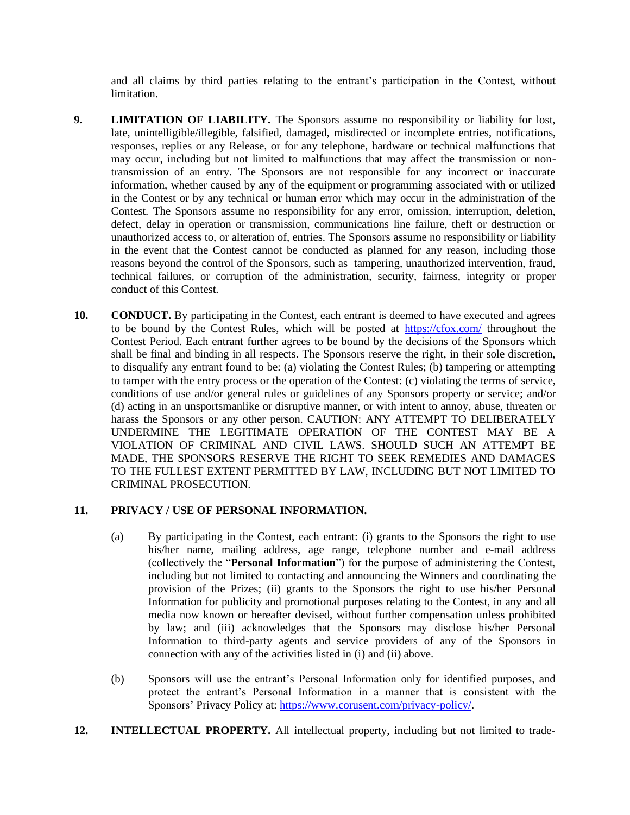and all claims by third parties relating to the entrant's participation in the Contest, without limitation.

- **9. LIMITATION OF LIABILITY.** The Sponsors assume no responsibility or liability for lost, late, unintelligible/illegible, falsified, damaged, misdirected or incomplete entries, notifications, responses, replies or any Release, or for any telephone, hardware or technical malfunctions that may occur, including but not limited to malfunctions that may affect the transmission or nontransmission of an entry. The Sponsors are not responsible for any incorrect or inaccurate information, whether caused by any of the equipment or programming associated with or utilized in the Contest or by any technical or human error which may occur in the administration of the Contest. The Sponsors assume no responsibility for any error, omission, interruption, deletion, defect, delay in operation or transmission, communications line failure, theft or destruction or unauthorized access to, or alteration of, entries. The Sponsors assume no responsibility or liability in the event that the Contest cannot be conducted as planned for any reason, including those reasons beyond the control of the Sponsors, such as tampering, unauthorized intervention, fraud, technical failures, or corruption of the administration, security, fairness, integrity or proper conduct of this Contest.
- **10. CONDUCT.** By participating in the Contest, each entrant is deemed to have executed and agrees to be bound by the Contest Rules, which will be posted at <https://cfox.com/> throughout the Contest Period. Each entrant further agrees to be bound by the decisions of the Sponsors which shall be final and binding in all respects. The Sponsors reserve the right, in their sole discretion, to disqualify any entrant found to be: (a) violating the Contest Rules; (b) tampering or attempting to tamper with the entry process or the operation of the Contest: (c) violating the terms of service, conditions of use and/or general rules or guidelines of any Sponsors property or service; and/or (d) acting in an unsportsmanlike or disruptive manner, or with intent to annoy, abuse, threaten or harass the Sponsors or any other person. CAUTION: ANY ATTEMPT TO DELIBERATELY UNDERMINE THE LEGITIMATE OPERATION OF THE CONTEST MAY BE A VIOLATION OF CRIMINAL AND CIVIL LAWS. SHOULD SUCH AN ATTEMPT BE MADE, THE SPONSORS RESERVE THE RIGHT TO SEEK REMEDIES AND DAMAGES TO THE FULLEST EXTENT PERMITTED BY LAW, INCLUDING BUT NOT LIMITED TO CRIMINAL PROSECUTION.

### **11. PRIVACY / USE OF PERSONAL INFORMATION.**

- (a) By participating in the Contest, each entrant: (i) grants to the Sponsors the right to use his/her name, mailing address, age range, telephone number and e-mail address (collectively the "**Personal Information**") for the purpose of administering the Contest, including but not limited to contacting and announcing the Winners and coordinating the provision of the Prizes; (ii) grants to the Sponsors the right to use his/her Personal Information for publicity and promotional purposes relating to the Contest, in any and all media now known or hereafter devised, without further compensation unless prohibited by law; and (iii) acknowledges that the Sponsors may disclose his/her Personal Information to third-party agents and service providers of any of the Sponsors in connection with any of the activities listed in (i) and (ii) above.
- (b) Sponsors will use the entrant's Personal Information only for identified purposes, and protect the entrant's Personal Information in a manner that is consistent with the Sponsors' Privacy Policy at[: https://www.corusent.com/privacy-policy/.](https://www.corusent.com/privacy-policy/)
- **12. INTELLECTUAL PROPERTY.** All intellectual property, including but not limited to trade-